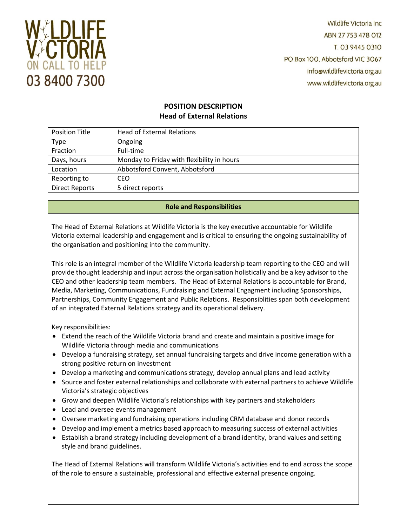

**Wildlife Victoria Inc.** ABN 27 753 478 012 T. 03 9445 0310 PO Box 100, Abbotsford VIC 3067 info@wildlifevictoria.org.au www.wildlifevictoria.org.au

# **POSITION DESCRIPTION Head of External Relations**

| <b>Position Title</b> | <b>Head of External Relations</b>          |
|-----------------------|--------------------------------------------|
| <b>Type</b>           | Ongoing                                    |
| Fraction              | Full-time                                  |
| Days, hours           | Monday to Friday with flexibility in hours |
| Location              | Abbotsford Convent, Abbotsford             |
| Reporting to          | CEO                                        |
| <b>Direct Reports</b> | 5 direct reports                           |

# **Role and Responsibilities**

The Head of External Relations at Wildlife Victoria is the key executive accountable for Wildlife Victoria external leadership and engagement and is critical to ensuring the ongoing sustainability of the organisation and positioning into the community.

This role is an integral member of the Wildlife Victoria leadership team reporting to the CEO and will provide thought leadership and input across the organisation holistically and be a key advisor to the CEO and other leadership team members. The Head of External Relations is accountable for Brand, Media, Marketing, Communications, Fundraising and External Engagment including Sponsorships, Partnerships, Community Engagement and Public Relations. Responsiblities span both development of an integrated External Relations strategy and its operational delivery.

Key responsibilities:

- Extend the reach of the Wildlife Victoria brand and create and maintain a positive image for Wildlife Victoria through media and communications
- Develop a fundraising strategy, set annual fundraising targets and drive income generation with a strong positive return on investment
- Develop a marketing and communications strategy, develop annual plans and lead activity
- Source and foster external relationships and collaborate with external partners to achieve Wildlife Victoria's strategic objectives
- Grow and deepen Wildlife Victoria's relationships with key partners and stakeholders
- Lead and oversee events management
- Oversee marketing and fundraising operations including CRM database and donor records
- Develop and implement a metrics based approach to measuring success of external activities
- Establish a brand strategy including development of a brand identity, brand values and setting style and brand guidelines.

The Head of External Relations will transform Wildlife Victoria's activities end to end across the scope of the role to ensure a sustainable, professional and effective external presence ongoing.